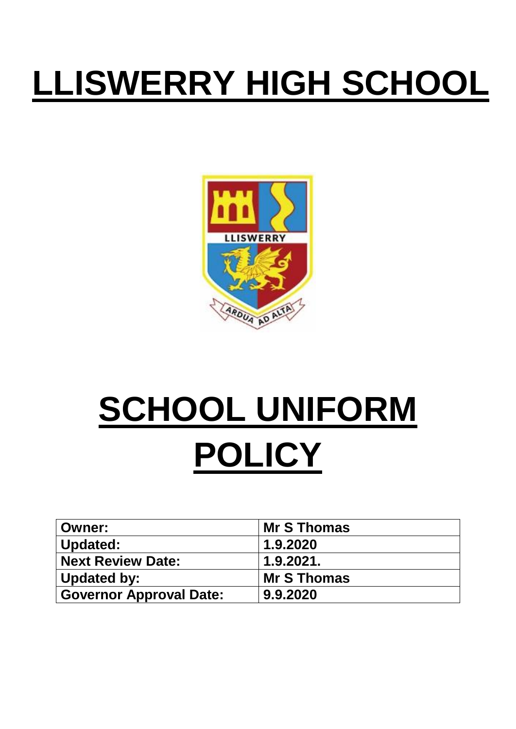## **LLISWERRY HIGH SCHOOL**



# **SCHOOL UNIFORM POLICY**

| Owner:                         | <b>Mr S Thomas</b> |
|--------------------------------|--------------------|
| Updated:                       | 1.9.2020           |
| <b>Next Review Date:</b>       | 1.9.2021.          |
| Updated by:                    | <b>Mr S Thomas</b> |
| <b>Governor Approval Date:</b> | 9.9.2020           |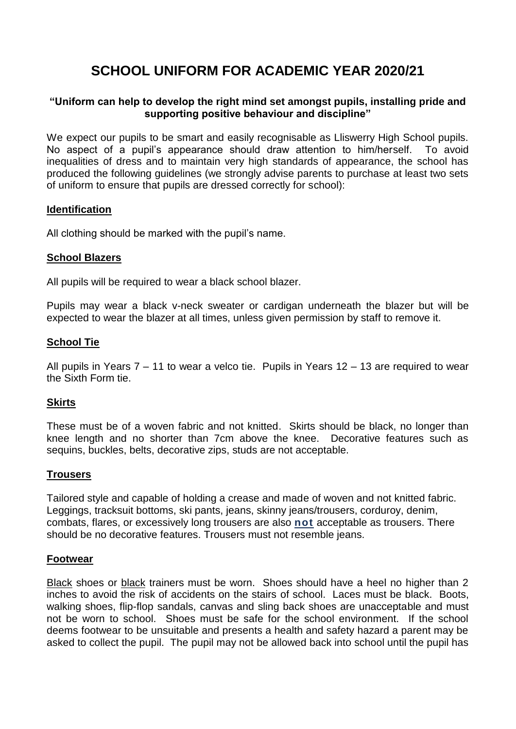### **SCHOOL UNIFORM FOR ACADEMIC YEAR 2020/21**

#### **"Uniform can help to develop the right mind set amongst pupils, installing pride and supporting positive behaviour and discipline"**

We expect our pupils to be smart and easily recognisable as Lliswerry High School pupils. No aspect of a pupil's appearance should draw attention to him/herself. To avoid inequalities of dress and to maintain very high standards of appearance, the school has produced the following guidelines (we strongly advise parents to purchase at least two sets of uniform to ensure that pupils are dressed correctly for school):

#### **Identification**

All clothing should be marked with the pupil's name.

#### **School Blazers**

All pupils will be required to wear a black school blazer.

Pupils may wear a black v-neck sweater or cardigan underneath the blazer but will be expected to wear the blazer at all times, unless given permission by staff to remove it.

#### **School Tie**

All pupils in Years 7 – 11 to wear a velco tie. Pupils in Years 12 – 13 are required to wear the Sixth Form tie.

#### **Skirts**

These must be of a woven fabric and not knitted. Skirts should be black, no longer than knee length and no shorter than 7cm above the knee. Decorative features such as sequins, buckles, belts, decorative zips, studs are not acceptable.

#### **Trousers**

Tailored style and capable of holding a crease and made of woven and not knitted fabric. Leggings, tracksuit bottoms, ski pants, jeans, skinny jeans/trousers, corduroy, denim, combats, flares, or excessively long trousers are also **not** acceptable as trousers. There should be no decorative features. Trousers must not resemble jeans.

#### **Footwear**

Black shoes or black trainers must be worn. Shoes should have a heel no higher than 2 inches to avoid the risk of accidents on the stairs of school. Laces must be black. Boots, walking shoes, flip-flop sandals, canvas and sling back shoes are unacceptable and must not be worn to school. Shoes must be safe for the school environment. If the school deems footwear to be unsuitable and presents a health and safety hazard a parent may be asked to collect the pupil. The pupil may not be allowed back into school until the pupil has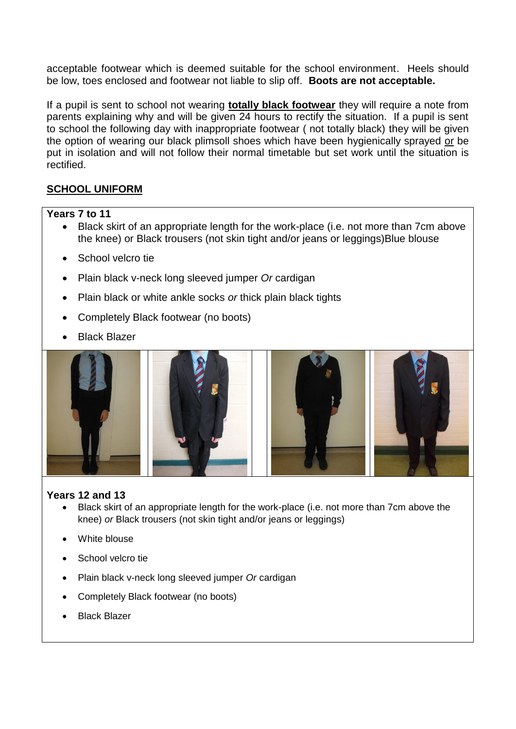acceptable footwear which is deemed suitable for the school environment. Heels should be low, toes enclosed and footwear not liable to slip off. **Boots are not acceptable.**

If a pupil is sent to school not wearing **totally black footwear** they will require a note from parents explaining why and will be given 24 hours to rectify the situation. If a pupil is sent to school the following day with inappropriate footwear ( not totally black) they will be given the option of wearing our black plimsoll shoes which have been hygienically sprayed or be put in isolation and will not follow their normal timetable but set work until the situation is rectified.

#### **SCHOOL UNIFORM**

#### **Years 7 to 11**

- Black skirt of an appropriate length for the work-place (i.e. not more than 7cm above the knee) or Black trousers (not skin tight and/or jeans or leggings)Blue blouse
- School velcro tie
- Plain black v-neck long sleeved jumper *Or* cardigan
- Plain black or white ankle socks *or* thick plain black tights
- Completely Black footwear (no boots)
- Black Blazer



#### **Years 12 and 13**

- Black skirt of an appropriate length for the work-place (i.e. not more than 7cm above the knee) *or* Black trousers (not skin tight and/or jeans or leggings)
- White blouse
- School velcro tie
- Plain black v-neck long sleeved jumper *Or* cardigan
- Completely Black footwear (no boots)
- Black Blazer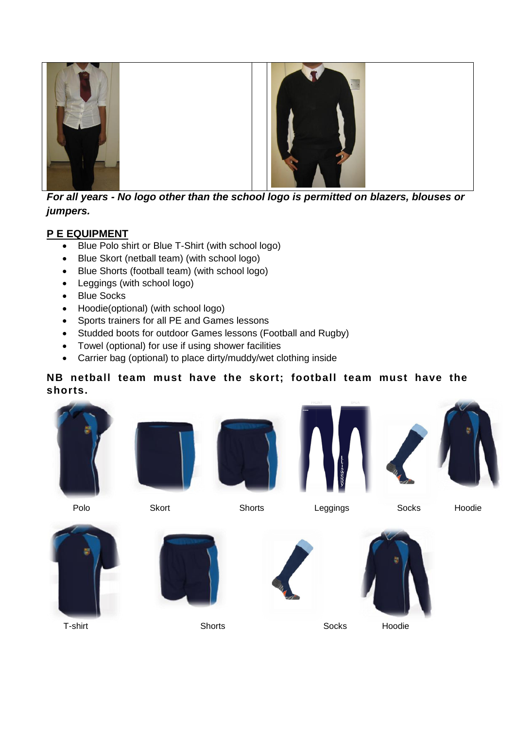

*For all years - No logo other than the school logo is permitted on blazers, blouses or jumpers.*

#### **P E EQUIPMENT**

- Blue Polo shirt or Blue T-Shirt (with school logo)
- Blue Skort (netball team) (with school logo)
- Blue Shorts (football team) (with school logo)
- Leggings (with school logo)
- Blue Socks
- Hoodie(optional) (with school logo)
- Sports trainers for all PE and Games lessons
- Studded boots for outdoor Games lessons (Football and Rugby)
- Towel (optional) for use if using shower facilities
- Carrier bag (optional) to place dirty/muddy/wet clothing inside

#### **NB netball team must have the skort; football team must have the shorts.**





















Polo Skort Shorts Leggings Socks Hoodie

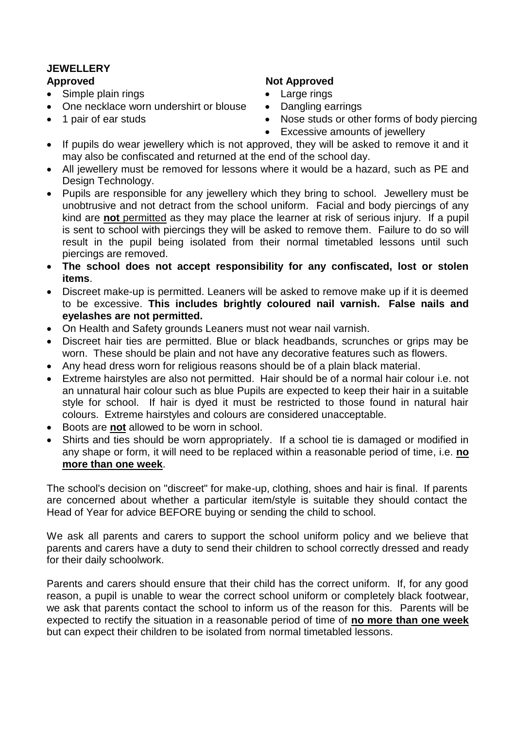#### **JEWELLERY**

- Simple plain rings
- One necklace worn undershirt or blouse
- 1 pair of ear studs

### **Approved Not Approved**

- Large rings
- Dangling earrings
- Nose studs or other forms of body piercing
- Excessive amounts of jewellery
- If pupils do wear jewellery which is not approved, they will be asked to remove it and it may also be confiscated and returned at the end of the school day.
- All jewellery must be removed for lessons where it would be a hazard, such as PE and Design Technology.
- Pupils are responsible for any jewellery which they bring to school. Jewellery must be unobtrusive and not detract from the school uniform. Facial and body piercings of any kind are **not** permitted as they may place the learner at risk of serious injury. If a pupil is sent to school with piercings they will be asked to remove them. Failure to do so will result in the pupil being isolated from their normal timetabled lessons until such piercings are removed.
- **The school does not accept responsibility for any confiscated, lost or stolen items**.
- Discreet make-up is permitted. Leaners will be asked to remove make up if it is deemed to be excessive. **This includes brightly coloured nail varnish. False nails and eyelashes are not permitted.**
- On Health and Safety grounds Leaners must not wear nail varnish.
- Discreet hair ties are permitted. Blue or black headbands, scrunches or grips may be worn. These should be plain and not have any decorative features such as flowers.
- Any head dress worn for religious reasons should be of a plain black material.
- Extreme hairstyles are also not permitted. Hair should be of a normal hair colour i.e. not an unnatural hair colour such as blue Pupils are expected to keep their hair in a suitable style for school. If hair is dyed it must be restricted to those found in natural hair colours. Extreme hairstyles and colours are considered unacceptable.
- Boots are **not** allowed to be worn in school.
- Shirts and ties should be worn appropriately. If a school tie is damaged or modified in any shape or form, it will need to be replaced within a reasonable period of time, i.e. **no more than one week**.

The school's decision on "discreet" for make-up, clothing, shoes and hair is final. If parents are concerned about whether a particular item/style is suitable they should contact the Head of Year for advice BEFORE buying or sending the child to school.

We ask all parents and carers to support the school uniform policy and we believe that parents and carers have a duty to send their children to school correctly dressed and ready for their daily schoolwork.

Parents and carers should ensure that their child has the correct uniform. If, for any good reason, a pupil is unable to wear the correct school uniform or completely black footwear, we ask that parents contact the school to inform us of the reason for this. Parents will be expected to rectify the situation in a reasonable period of time of **no more than one week** but can expect their children to be isolated from normal timetabled lessons.